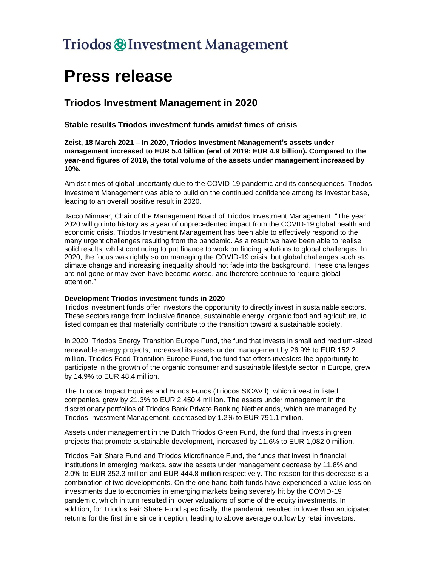## Triodos @ Investment Management

# **Press release**

### **Triodos Investment Management in 2020**

**Stable results Triodos investment funds amidst times of crisis**

**Zeist, 18 March 2021 – In 2020, Triodos Investment Management's assets under management increased to EUR 5.4 billion (end of 2019: EUR 4.9 billion). Compared to the year-end figures of 2019, the total volume of the assets under management increased by 10%.** 

Amidst times of global uncertainty due to the COVID-19 pandemic and its consequences, Triodos Investment Management was able to build on the continued confidence among its investor base, leading to an overall positive result in 2020.

Jacco Minnaar, Chair of the Management Board of Triodos Investment Management: "The year 2020 will go into history as a year of unprecedented impact from the COVID-19 global health and economic crisis. Triodos Investment Management has been able to effectively respond to the many urgent challenges resulting from the pandemic. As a result we have been able to realise solid results, whilst continuing to put finance to work on finding solutions to global challenges. In 2020, the focus was rightly so on managing the COVID-19 crisis, but global challenges such as climate change and increasing inequality should not fade into the background. These challenges are not gone or may even have become worse, and therefore continue to require global attention."

#### **Development Triodos investment funds in 2020**

Triodos investment funds offer investors the opportunity to directly invest in sustainable sectors. These sectors range from inclusive finance, sustainable energy, organic food and agriculture, to listed companies that materially contribute to the transition toward a sustainable society.

In 2020, Triodos Energy Transition Europe Fund, the fund that invests in small and medium-sized renewable energy projects, increased its assets under management by 26.9% to EUR 152.2 million. Triodos Food Transition Europe Fund, the fund that offers investors the opportunity to participate in the growth of the organic consumer and sustainable lifestyle sector in Europe, grew by 14.9% to EUR 48.4 million.

The Triodos Impact Equities and Bonds Funds (Triodos SICAV l), which invest in listed companies, grew by 21.3% to EUR 2,450.4 million. The assets under management in the discretionary portfolios of Triodos Bank Private Banking Netherlands, which are managed by Triodos Investment Management, decreased by 1.2% to EUR 791.1 million.

Assets under management in the Dutch Triodos Green Fund, the fund that invests in green projects that promote sustainable development, increased by 11.6% to EUR 1,082.0 million.

Triodos Fair Share Fund and Triodos Microfinance Fund, the funds that invest in financial institutions in emerging markets, saw the assets under management decrease by 11.8% and 2.0% to EUR 352.3 million and EUR 444.8 million respectively. The reason for this decrease is a combination of two developments. On the one hand both funds have experienced a value loss on investments due to economies in emerging markets being severely hit by the COVID-19 pandemic, which in turn resulted in lower valuations of some of the equity investments. In addition, for Triodos Fair Share Fund specifically, the pandemic resulted in lower than anticipated returns for the first time since inception, leading to above average outflow by retail investors.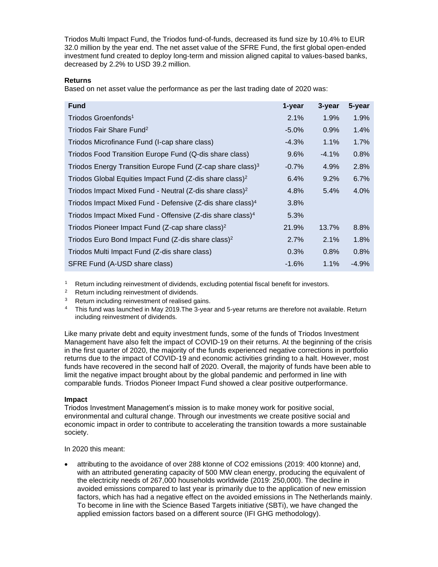Triodos Multi Impact Fund, the Triodos fund-of-funds, decreased its fund size by 10.4% to EUR 32.0 million by the year end. The net asset value of the SFRE Fund, the first global open-ended investment fund created to deploy long-term and mission aligned capital to values-based banks, decreased by 2.2% to USD 39.2 million.

#### **Returns**

Based on net asset value the performance as per the last trading date of 2020 was:

| <b>Fund</b>                                                            | 1-year   | 3-year  | 5-year  |
|------------------------------------------------------------------------|----------|---------|---------|
| Triodos Groenfonds <sup>1</sup>                                        | 2.1%     | 1.9%    | 1.9%    |
| Triodos Fair Share Fund <sup>2</sup>                                   | $-5.0\%$ | 0.9%    | 1.4%    |
| Triodos Microfinance Fund (I-cap share class)                          | $-4.3\%$ | 1.1%    | 1.7%    |
| Triodos Food Transition Europe Fund (Q-dis share class)                | 9.6%     | $-4.1%$ | 0.8%    |
| Triodos Energy Transition Europe Fund (Z-cap share class) <sup>3</sup> | $-0.7\%$ | 4.9%    | 2.8%    |
| Triodos Global Equities Impact Fund (Z-dis share class) <sup>2</sup>   | 6.4%     | 9.2%    | 6.7%    |
| Triodos Impact Mixed Fund - Neutral (Z-dis share class) <sup>2</sup>   | 4.8%     | 5.4%    | 4.0%    |
| Triodos Impact Mixed Fund - Defensive (Z-dis share class) <sup>4</sup> | 3.8%     |         |         |
| Triodos Impact Mixed Fund - Offensive (Z-dis share class) <sup>4</sup> | 5.3%     |         |         |
| Triodos Pioneer Impact Fund (Z-cap share class) <sup>2</sup>           | 21.9%    | 13.7%   | 8.8%    |
| Triodos Euro Bond Impact Fund (Z-dis share class) <sup>2</sup>         | 2.7%     | 2.1%    | 1.8%    |
| Triodos Multi Impact Fund (Z-dis share class)                          | 0.3%     | 0.8%    | 0.8%    |
| SFRE Fund (A-USD share class)                                          | $-1.6%$  | 1.1%    | $-4.9%$ |

Return including reinvestment of dividends, excluding potential fiscal benefit for investors.

<sup>2</sup> Return including reinvestment of dividends.

<sup>3</sup> Return including reinvestment of realised gains.

<sup>4</sup> This fund was launched in May 2019.The 3-year and 5-year returns are therefore not available. Return including reinvestment of dividends.

Like many private debt and equity investment funds, some of the funds of Triodos Investment Management have also felt the impact of COVID-19 on their returns. At the beginning of the crisis in the first quarter of 2020, the majority of the funds experienced negative corrections in portfolio returns due to the impact of COVID-19 and economic activities grinding to a halt. However, most funds have recovered in the second half of 2020. Overall, the majority of funds have been able to limit the negative impact brought about by the global pandemic and performed in line with comparable funds. Triodos Pioneer Impact Fund showed a clear positive outperformance.

#### **Impact**

Triodos Investment Management's mission is to make money work for positive social, environmental and cultural change. Through our investments we create positive social and economic impact in order to contribute to accelerating the transition towards a more sustainable society.

In 2020 this meant:

• attributing to the avoidance of over 288 ktonne of CO2 emissions (2019: 400 ktonne) and, with an attributed generating capacity of 500 MW clean energy, producing the equivalent of the electricity needs of 267,000 households worldwide (2019: 250,000). The decline in avoided emissions compared to last year is primarily due to the application of new emission factors, which has had a negative effect on the avoided emissions in The Netherlands mainly. To become in line with the Science Based Targets initiative (SBTi), we have changed the applied emission factors based on a different source (IFI GHG methodology).